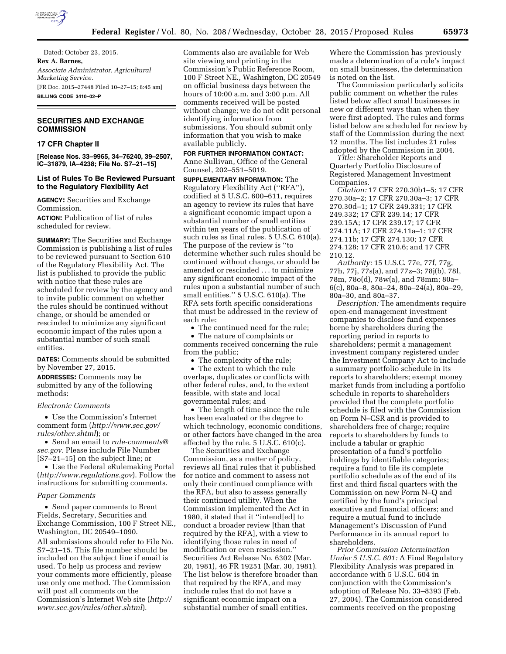

Dated: October 23, 2015. **Rex A. Barnes,**  *Associate Administrator, Agricultural Marketing Service.*  [FR Doc. 2015–27448 Filed 10–27–15; 8:45 am] **BILLING CODE 3410–02–P** 

# **SECURITIES AND EXCHANGE COMMISSION**

## **17 CFR Chapter II**

**[Release Nos. 33–9965, 34–76240, 39–2507, IC–31879, IA–4238; File No. S7–21–15]** 

# **List of Rules To Be Reviewed Pursuant to the Regulatory Flexibility Act**

**AGENCY:** Securities and Exchange Commission.

**ACTION:** Publication of list of rules scheduled for review.

**SUMMARY:** The Securities and Exchange Commission is publishing a list of rules to be reviewed pursuant to Section 610 of the Regulatory Flexibility Act. The list is published to provide the public with notice that these rules are scheduled for review by the agency and to invite public comment on whether the rules should be continued without change, or should be amended or rescinded to minimize any significant economic impact of the rules upon a substantial number of such small entities.

**DATES:** Comments should be submitted by November 27, 2015.

**ADDRESSES:** Comments may be submitted by any of the following methods:

#### *Electronic Comments*

• Use the Commission's Internet comment form (*[http://www.sec.gov/](http://www.sec.gov/rules/other.shtml) [rules/other.shtml](http://www.sec.gov/rules/other.shtml)*); or

• Send an email to *[rule-comments@](mailto:rule-comments@sec.gov) [sec.gov.](mailto:rule-comments@sec.gov)* Please include File Number [S7–21–15] on the subject line; or

• Use the Federal eRulemaking Portal (*<http://www.regulations.gov>*). Follow the instructions for submitting comments.

#### *Paper Comments*

• Send paper comments to Brent Fields, Secretary, Securities and Exchange Commission, 100 F Street NE., Washington, DC 20549–1090. All submissions should refer to File No. S7–21–15. This file number should be included on the subject line if email is used. To help us process and review your comments more efficiently, please use only one method. The Commission will post all comments on the Commission's Internet Web site (*[http://](http://www.sec.gov/rules/other.shtml)  [www.sec.gov/rules/other.shtml](http://www.sec.gov/rules/other.shtml)*).

Comments also are available for Web site viewing and printing in the Commission's Public Reference Room, 100 F Street NE., Washington, DC 20549 on official business days between the hours of 10:00 a.m. and 3:00 p.m. All comments received will be posted without change; we do not edit personal identifying information from submissions. You should submit only information that you wish to make available publicly.

**FOR FURTHER INFORMATION CONTACT:**  Anne Sullivan, Office of the General Counsel, 202–551–5019.

**SUPPLEMENTARY INFORMATION:** The Regulatory Flexibility Act (''RFA''), codified at 5 U.S.C. 600–611, requires an agency to review its rules that have a significant economic impact upon a substantial number of small entities within ten years of the publication of such rules as final rules. 5 U.S.C. 610(a). The purpose of the review is ''to determine whether such rules should be continued without change, or should be amended or rescinded . . . to minimize any significant economic impact of the rules upon a substantial number of such small entities.'' 5 U.S.C. 610(a). The RFA sets forth specific considerations that must be addressed in the review of each rule:

• The continued need for the rule;

• The nature of complaints or comments received concerning the rule from the public;

• The complexity of the rule;

• The extent to which the rule overlaps, duplicates or conflicts with other federal rules, and, to the extent feasible, with state and local governmental rules; and

• The length of time since the rule has been evaluated or the degree to which technology, economic conditions, or other factors have changed in the area affected by the rule. 5 U.S.C. 610(c).

The Securities and Exchange Commission, as a matter of policy, reviews all final rules that it published for notice and comment to assess not only their continued compliance with the RFA, but also to assess generally their continued utility. When the Commission implemented the Act in 1980, it stated that it ''intend[ed] to conduct a broader review [than that required by the RFA], with a view to identifying those rules in need of modification or even rescission.'' Securities Act Release No. 6302 (Mar. 20, 1981), 46 FR 19251 (Mar. 30, 1981). The list below is therefore broader than that required by the RFA, and may include rules that do not have a significant economic impact on a substantial number of small entities.

Where the Commission has previously made a determination of a rule's impact on small businesses, the determination is noted on the list.

The Commission particularly solicits public comment on whether the rules listed below affect small businesses in new or different ways than when they were first adopted. The rules and forms listed below are scheduled for review by staff of the Commission during the next 12 months. The list includes 21 rules adopted by the Commission in 2004.

*Title:* Shareholder Reports and Quarterly Portfolio Disclosure of Registered Management Investment Companies.

*Citation:* 17 CFR 270.30b1–5; 17 CFR 270.30a–2; 17 CFR 270.30a–3; 17 CFR 270.30d–1; 17 CFR 249.331; 17 CFR 249.332; 17 CFR 239.14; 17 CFR 239.15A; 17 CFR 239.17; 17 CFR 274.11A; 17 CFR 274.11a–1; 17 CFR 274.11b; 17 CFR 274.130; 17 CFR 274.128; 17 CFR 210.6; and 17 CFR 210.12.

*Authority:* 15 U.S.C. 77e, 77f, 77g, 77h, 77j, 77s(a), and 77z–3; 78j(b), 78l, 78m, 78o(d), 78w(a), and 78mm; 80a– 6(c), 80a–8, 80a–24, 80a–24(a), 80a–29, 80a–30, and 80a–37.

*Description:* The amendments require open-end management investment companies to disclose fund expenses borne by shareholders during the reporting period in reports to shareholders; permit a management investment company registered under the Investment Company Act to include a summary portfolio schedule in its reports to shareholders; exempt money market funds from including a portfolio schedule in reports to shareholders provided that the complete portfolio schedule is filed with the Commission on Form N–CSR and is provided to shareholders free of charge; require reports to shareholders by funds to include a tabular or graphic presentation of a fund's portfolio holdings by identifiable categories; require a fund to file its complete portfolio schedule as of the end of its first and third fiscal quarters with the Commission on new Form N–Q and certified by the fund's principal executive and financial officers; and require a mutual fund to include Management's Discussion of Fund Performance in its annual report to shareholders.

*Prior Commission Determination Under 5 U.S.C. 601:* A Final Regulatory Flexibility Analysis was prepared in accordance with 5 U.S.C. 604 in conjunction with the Commission's adoption of Release No. 33–8393 (Feb. 27, 2004). The Commission considered comments received on the proposing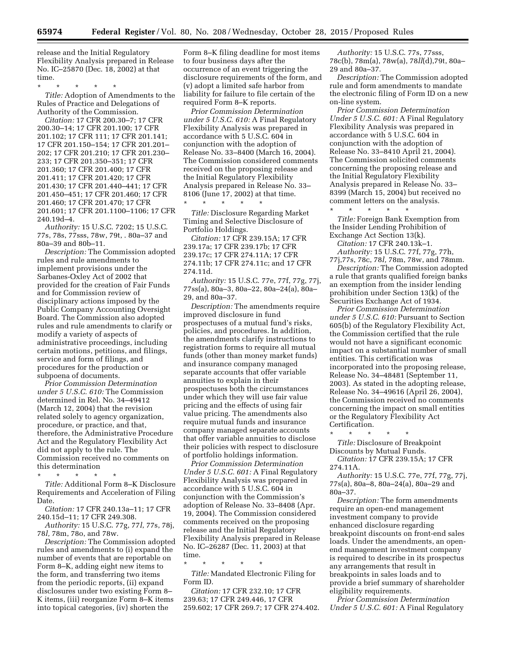release and the Initial Regulatory Flexibility Analysis prepared in Release No. IC–25870 (Dec. 18, 2002) at that time.

\* \* \* \* \*

*Title:* Adoption of Amendments to the Rules of Practice and Delegations of Authority of the Commission.

*Citation:* 17 CFR 200.30–7; 17 CFR 200.30–14; 17 CFR 201.100; 17 CFR 201.102; 17 CFR 111; 17 CFR 201.141; 17 CFR 201.150–154; 17 CFR 201.201– 202; 17 CFR 201.210; 17 CFR 201.230– 233; 17 CFR 201.350–351; 17 CFR 201.360; 17 CFR 201.400; 17 CFR 201.411; 17 CFR 201.420; 17 CFR 201.430; 17 CFR 201.440–441; 17 CFR 201.450–451; 17 CFR 201.460; 17 CFR 201.460; 17 CFR 201.470; 17 CFR 201.601; 17 CFR 201.1100–1106; 17 CFR 240.19d–4.

*Authority:* 15 U.S.C. 7202; 15 U.S.C. 77s, 78s, 77sss, 78w, 79t, . 80a–37 and 80a–39 and 80b–11.

*Description:* The Commission adopted rules and rule amendments to implement provisions under the Sarbanes-Oxley Act of 2002 that provided for the creation of Fair Funds and for Commission review of disciplinary actions imposed by the Public Company Accounting Oversight Board. The Commission also adopted rules and rule amendments to clarify or modify a variety of aspects of administrative proceedings, including certain motions, petitions, and filings, service and form of filings, and procedures for the production or subpoena of documents.

*Prior Commission Determination under 5 U.S.C. 610:* The Commission determined in Rel. No. 34–49412 (March 12, 2004) that the revision related solely to agency organization, procedure, or practice, and that, therefore, the Administrative Procedure Act and the Regulatory Flexibility Act did not apply to the rule. The Commission received no comments on this determination

\* \* \* \* \*

*Title:* Additional Form 8–K Disclosure Requirements and Acceleration of Filing Date.

*Citation:* 17 CFR 240.13a–11; 17 CFR 240.15d–11; 17 CFR 249.308.

*Authority:* 15 U.S.C. 77g, 77*l*, 77s, 78j, 78*l,* 78m, 78o, and 78w.

*Description:* The Commission adopted rules and amendments to (i) expand the number of events that are reportable on Form 8–K, adding eight new items to the form, and transferring two items from the periodic reports, (ii) expand disclosures under two existing Form 8– K items, (iii) reorganize Form 8–K items into topical categories, (iv) shorten the

Form 8–K filing deadline for most items to four business days after the occurrence of an event triggering the disclosure requirements of the form, and (v) adopt a limited safe harbor from liability for failure to file certain of the required Form 8–K reports.

*Prior Commission Determination under 5 U.S.C. 610:* A Final Regulatory Flexibility Analysis was prepared in accordance with 5 U.S.C. 604 in conjunction with the adoption of Release No. 33–8400 (March 16, 2004). The Commission considered comments received on the proposing release and the Initial Regulatory Flexibility Analysis prepared in Release No. 33– 8106 (June 17, 2002) at that time.

\* \* \* \* \* *Title:* Disclosure Regarding Market Timing and Selective Disclosure of Portfolio Holdings.

*Citation:* 17 CFR 239.15A; 17 CFR 239.17a; 17 CFR 239.17b; 17 CFR 239.17c; 17 CFR 274.11A; 17 CFR 274.11b; 17 CFR 274.11c; and 17 CFR 274.11d.

*Authority:* 15 U.S.C. 77e, 77f, 77g, 77j, 77ss(a), 80a–3, 80a–22, 80a–24(a), 80a– 29, and 80a–37.

*Description:* The amendments require improved disclosure in fund prospectuses of a mutual fund's risks, policies, and procedures. In addition, the amendments clarify instructions to registration forms to require all mutual funds (other than money market funds) and insurance company managed separate accounts that offer variable annuities to explain in their prospectuses both the circumstances under which they will use fair value pricing and the effects of using fair value pricing. The amendments also require mutual funds and insurance company managed separate accounts that offer variable annuities to disclose their policies with respect to disclosure of portfolio holdings information.

*Prior Commission Determination Under 5 U.S.C. 601:* A Final Regulatory Flexibility Analysis was prepared in accordance with 5 U.S.C. 604 in conjunction with the Commission's adoption of Release No. 33–8408 (Apr. 19, 2004). The Commission considered comments received on the proposing release and the Initial Regulatory Flexibility Analysis prepared in Release No. IC–26287 (Dec. 11, 2003) at that time.

\* \* \* \* \* *Title:* Mandated Electronic Filing for Form ID.

*Citation:* 17 CFR 232.10; 17 CFR 239.63; 17 CFR 249.446, 17 CFR 259.602; 17 CFR 269.7; 17 CFR 274.402.

*Authority:* 15 U.S.C. 77s, 77sss, 78c(b), 78m(a), 78w(a), 78*ll*(d),79t, 80a– 29 and 80a–37.

*Description:* The Commission adopted rule and form amendments to mandate the electronic filing of Form ID on a new on-line system.

*Prior Commission Determination Under 5 U.S.C. 601:* A Final Regulatory Flexibility Analysis was prepared in accordance with 5 U.S.C. 604 in conjunction with the adoption of Release No. 33–8410 April 21, 2004). The Commission solicited comments concerning the proposing release and the Initial Regulatory Flexibility Analysis prepared in Release No. 33– 8399 (March 15, 2004) but received no comment letters on the analysis.

\* \* \* \* \* *Title:* Foreign Bank Exemption from the Insider Lending Prohibition of Exchange Act Section 13(k).

*Citation:* 17 CFR 240.13k–1.

*Authority:* 15 U.S.C. 77f, 77g, 77h, 77j,77s, 78c, 78*l,* 78m, 78w, and 78mm. *Description:* The Commission adopted a rule that grants qualified foreign banks an exemption from the insider lending prohibition under Section 13(k) of the Securities Exchange Act of 1934.

*Prior Commission Determination under 5 U.S.C. 610:* Pursuant to Section 605(b) of the Regulatory Flexibility Act, the Commission certified that the rule would not have a significant economic impact on a substantial number of small entities. This certification was incorporated into the proposing release, Release No. 34–48481 (September 11, 2003). As stated in the adopting release, Release No. 34–49616 (April 26, 2004), the Commission received no comments concerning the impact on small entities or the Regulatory Flexibility Act Certification.

\* \* \* \* \* *Title:* Disclosure of Breakpoint Discounts by Mutual Funds.

*Citation:* 17 CFR 239.15A; 17 CFR 274.11A.

*Authority:* 15 U.S.C. 77e, 77f, 77g, 77j, 77s(a), 80a–8, 80a–24(a), 80a–29 and 80a–37.

*Description:* The form amendments require an open-end management investment company to provide enhanced disclosure regarding breakpoint discounts on front-end sales loads. Under the amendments, an openend management investment company is required to describe in its prospectus any arrangements that result in breakpoints in sales loads and to provide a brief summary of shareholder eligibility requirements.

*Prior Commission Determination Under 5 U.S.C. 601:* A Final Regulatory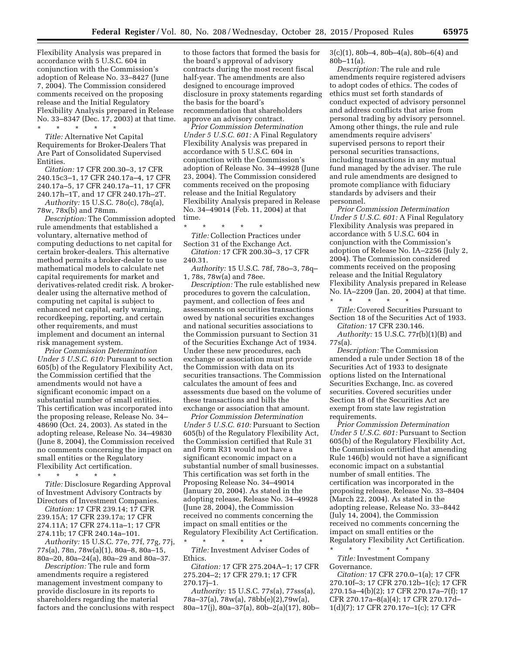Flexibility Analysis was prepared in accordance with 5 U.S.C. 604 in conjunction with the Commission's adoption of Release No. 33–8427 (June 7, 2004). The Commission considered comments received on the proposing release and the Initial Regulatory Flexibility Analysis prepared in Release No. 33–8347 (Dec. 17, 2003) at that time.

# \* \* \* \* \*

*Title:* Alternative Net Capital Requirements for Broker-Dealers That Are Part of Consolidated Supervised Entities.

*Citation:* 17 CFR 200.30–3, 17 CFR 240.15c3–1, 17 CFR 240.17a–4, 17 CFR 240.17a–5, 17 CFR 240.17a–11, 17 CFR 240.17h–1T, and 17 CFR 240.17h–2T. *Authority:* 15 U.S.C. 78o(c), 78q(a),

78w, 78x(b) and 78mm. *Description:* The Commission adopted rule amendments that established a voluntary, alternative method of computing deductions to net capital for certain broker-dealers. This alternative method permits a broker-dealer to use mathematical models to calculate net capital requirements for market and derivatives-related credit risk. A brokerdealer using the alternative method of computing net capital is subject to enhanced net capital, early warning, recordkeeping, reporting, and certain other requirements, and must implement and document an internal risk management system.

*Prior Commission Determination Under 5 U.S.C. 610:* Pursuant to section 605(b) of the Regulatory Flexibility Act, the Commission certified that the amendments would not have a significant economic impact on a substantial number of small entities. This certification was incorporated into the proposing release, Release No. 34– 48690 (Oct. 24, 2003). As stated in the adopting release, Release No. 34–49830 (June 8, 2004), the Commission received no comments concerning the impact on small entities or the Regulatory Flexibility Act certification.

\* \* \* \* \*

*Title:* Disclosure Regarding Approval of Investment Advisory Contracts by Directors of Investment Companies.

*Citation:* 17 CFR 239.14; 17 CFR 239.15A; 17 CFR 239.17a; 17 CFR 274.11A; 17 CFR 274.11a–1; 17 CFR 274.11b; 17 CFR 240.14a–101.

*Authority:* 15 U.S.C. 77e, 77f, 77g, 77j, 77s(a), 78n, 78w(a)(1), 80a–8, 80a–15, 80a–20, 80a–24(a), 80a–29 and 80a–37.

*Description:* The rule and form amendments require a registered management investment company to provide disclosure in its reports to shareholders regarding the material factors and the conclusions with respect

to those factors that formed the basis for the board's approval of advisory contracts during the most recent fiscal half-year. The amendments are also designed to encourage improved disclosure in proxy statements regarding the basis for the board's recommendation that shareholders approve an advisory contract.

*Prior Commission Determination Under 5 U.S.C. 601:* A Final Regulatory Flexibility Analysis was prepared in accordance with 5 U.S.C. 604 in conjunction with the Commission's adoption of Release No. 34–49928 (June 23, 2004). The Commission considered comments received on the proposing release and the Initial Regulatory Flexibility Analysis prepared in Release No. 34–49014 (Feb. 11, 2004) at that time.

\* \* \* \* \* *Title:* Collection Practices under Section 31 of the Exchange Act.

*Citation:* 17 CFR 200.30–3, 17 CFR 240.31.

*Authority:* 15 U.S.C. 78f, 78o–3, 78q– 1, 78s, 78w(a) and 78ee.

*Description:* The rule established new procedures to govern the calculation, payment, and collection of fees and assessments on securities transactions owed by national securities exchanges and national securities associations to the Commission pursuant to Section 31 of the Securities Exchange Act of 1934. Under these new procedures, each exchange or association must provide the Commission with data on its securities transactions. The Commission calculates the amount of fees and assessments due based on the volume of these transactions and bills the exchange or association that amount.

*Prior Commission Determination Under 5 U.S.C. 610:* Pursuant to Section 605(b) of the Regulatory Flexibility Act, the Commission certified that Rule 31 and Form R31 would not have a significant economic impact on a substantial number of small businesses. This certification was set forth in the Proposing Release No. 34–49014 (January 20, 2004). As stated in the adopting release, Release No. 34–49928 (June 28, 2004), the Commission received no comments concerning the impact on small entities or the Regulatory Flexibility Act Certification.

\* \* \* \* \* *Title:* Investment Adviser Codes of Ethics.

*Citation:* 17 CFR 275.204A–1; 17 CFR 275.204–2; 17 CFR 279.1; 17 CFR 270.17j–1.

*Authority:* 15 U.S.C. 77s(a), 77sss(a), 78a–37(a), 78w(a), 78bb(e)(2),79w(a), 80a–17(j), 80a–37(a), 80b–2(a)(17), 80b–  $3(c)(1)$ , 80b–4, 80b–4(a), 80b–6(4) and 80b–11(a).

*Description:* The rule and rule amendments require registered advisers to adopt codes of ethics. The codes of ethics must set forth standards of conduct expected of advisory personnel and address conflicts that arise from personal trading by advisory personnel. Among other things, the rule and rule amendments require advisers' supervised persons to report their personal securities transactions, including transactions in any mutual fund managed by the adviser. The rule and rule amendments are designed to promote compliance with fiduciary standards by advisers and their personnel.

*Prior Commission Determination Under 5 U.S.C. 601:* A Final Regulatory Flexibility Analysis was prepared in accordance with 5 U.S.C. 604 in conjunction with the Commission's adoption of Release No. IA–2256 (July 2, 2004). The Commission considered comments received on the proposing release and the Initial Regulatory Flexibility Analysis prepared in Release No. IA–2209 (Jan. 20, 2004) at that time.  $\star$   $\qquad$   $\star$   $\qquad$   $\star$ 

*Title:* Covered Securities Pursuant to Section 18 of the Securities Act of 1933. *Citation:* 17 CFR 230.146.

*Authority:* 15 U.S.C. 77r(b)(1)(B) and 77s(a).

*Description:* The Commission amended a rule under Section 18 of the Securities Act of 1933 to designate options listed on the International Securities Exchange, Inc. as covered securities. Covered securities under Section 18 of the Securities Act are exempt from state law registration requirements.

*Prior Commission Determination Under 5 U.S.C. 601:* Pursuant to Section 605(b) of the Regulatory Flexibility Act, the Commission certified that amending Rule 146(b) would not have a significant economic impact on a substantial number of small entities. The certification was incorporated in the proposing release, Release No. 33–8404 (March 22, 2004). As stated in the adopting release, Release No. 33–8442 (July 14, 2004), the Commission received no comments concerning the impact on small entities or the Regulatory Flexibility Act Certification.

\* \* \* \* \* *Title:* Investment Company Governance.

*Citation:* 17 CFR 270.0–1(a); 17 CFR 270.10f–3; 17 CFR 270.12b–1(c); 17 CFR 270.15a–4(b)(2); 17 CFR 270.17a–7(f); 17 CFR 270.17a–8(a)(4); 17 CFR 270.17d– 1(d)(7); 17 CFR 270.17e–1(c); 17 CFR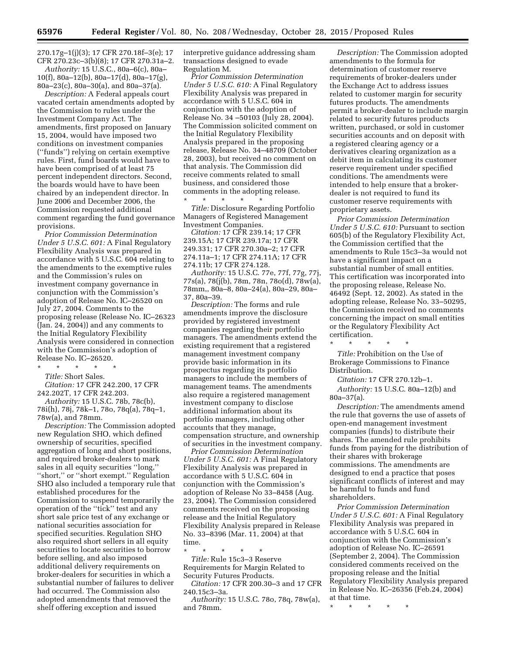270.17g–1(j)(3); 17 CFR 270.18f–3(e); 17 CFR 270.23c–3(b)(8); 17 CFR 270.31a–2.

*Authority:* 15 U.S.C., 80a–6(c), 80a– 10(f), 80a–12(b), 80a–17(d), 80a–17(g), 80a–23(c), 80a–30(a), and 80a–37(a).

*Description:* A Federal appeals court vacated certain amendments adopted by the Commission to rules under the Investment Company Act. The amendments, first proposed on January 15, 2004, would have imposed two conditions on investment companies (''funds'') relying on certain exemptive rules. First, fund boards would have to have been comprised of at least 75 percent independent directors. Second, the boards would have to have been chaired by an independent director. In June 2006 and December 2006, the Commission requested additional comment regarding the fund governance provisions.

*Prior Commission Determination Under 5 U.S.C. 601:* A Final Regulatory Flexibility Analysis was prepared in accordance with 5 U.S.C. 604 relating to the amendments to the exemptive rules and the Commission's rules on investment company governance in conjunction with the Commission's adoption of Release No. IC–26520 on July 27, 2004. Comments to the proposing release (Release No. IC–26323 (Jan. 24, 2004)) and any comments to the Initial Regulatory Flexibility Analysis were considered in connection with the Commission's adoption of Release No. IC–26520.

\* \* \* \* \*

*Title:* Short Sales.

*Citation:* 17 CFR 242.200, 17 CFR 242.202T, 17 CFR 242.203.

*Authority:* 15 U.S.C. 78b, 78c(b), 78i(h), 78j, 78k–1, 78o, 78q(a), 78q–1, 78w(a), and 78mm.

*Description:* The Commission adopted new Regulation SHO, which defined ownership of securities, specified aggregation of long and short positions, and required broker-dealers to mark sales in all equity securities ''long,'' ''short,'' or ''short exempt.'' Regulation SHO also included a temporary rule that established procedures for the Commission to suspend temporarily the operation of the ''tick'' test and any short sale price test of any exchange or national securities association for specified securities. Regulation SHO also required short sellers in all equity securities to locate securities to borrow before selling, and also imposed additional delivery requirements on broker-dealers for securities in which a substantial number of failures to deliver had occurred. The Commission also adopted amendments that removed the shelf offering exception and issued

interpretive guidance addressing sham transactions designed to evade Regulation M.

*Prior Commission Determination Under 5 U.S.C. 610:* A Final Regulatory Flexibility Analysis was prepared in accordance with 5 U.S.C. 604 in conjunction with the adoption of Release No. 34 –50103 (July 28, 2004). The Commission solicited comment on the Initial Regulatory Flexibility Analysis prepared in the proposing release, Release No. 34–48709 (October 28, 2003), but received no comment on that analysis. The Commission did receive comments related to small business, and considered those comments in the adopting release. \* \* \* \* \*

*Title:* Disclosure Regarding Portfolio Managers of Registered Management Investment Companies.

*Citation:* 17 CFR 239.14; 17 CFR 239.15A; 17 CFR 239.17a; 17 CFR 249.331; 17 CFR 270.30a–2; 17 CFR 274.11a–1; 17 CFR 274.11A; 17 CFR 274.11b; 17 CFR 274.128.

*Authority:* 15 U.S.C. 77e, 77f, 77g, 77j, 77s(a), 78(j(b), 78m, 78n, 78o(d), 78w(a), 78mm,, 80a–8, 80a–24(a), 80a–29, 80a– 37, 80a–39.

*Description:* The forms and rule amendments improve the disclosure provided by registered investment companies regarding their portfolio managers. The amendments extend the existing requirement that a registered management investment company provide basic information in its prospectus regarding its portfolio managers to include the members of management teams. The amendments also require a registered management investment company to disclose additional information about its portfolio managers, including other accounts that they manage, compensation structure, and ownership of securities in the investment company.

*Prior Commission Determination Under 5 U.S.C. 601:* A Final Regulatory Flexibility Analysis was prepared in accordance with 5 U.S.C. 604 in conjunction with the Commission's adoption of Release No 33–8458 (Aug. 23, 2004). The Commission considered comments received on the proposing release and the Initial Regulatory Flexibility Analysis prepared in Release No. 33–8396 (Mar. 11, 2004) at that time.

\* \* \* \* \*

*Title:* Rule 15c3–3 Reserve Requirements for Margin Related to Security Futures Products.

*Citation:* 17 CFR 200.30–3 and 17 CFR 240.15c3–3a.

*Authority:* 15 U.S.C. 78o, 78q, 78w(a), and 78mm.

*Description:* The Commission adopted amendments to the formula for determination of customer reserve requirements of broker-dealers under the Exchange Act to address issues related to customer margin for security futures products. The amendments permit a broker-dealer to include margin related to security futures products written, purchased, or sold in customer securities accounts and on deposit with a registered clearing agency or a derivatives clearing organization as a debit item in calculating its customer reserve requirement under specified conditions. The amendments were intended to help ensure that a brokerdealer is not required to fund its customer reserve requirements with proprietary assets.

*Prior Commission Determination Under 5 U.S.C. 610:* Pursuant to section 605(b) of the Regulatory Flexibility Act, the Commission certified that the amendments to Rule 15c3–3a would not have a significant impact on a substantial number of small entities. This certification was incorporated into the proposing release, Release No. 46492 (Sept. 12, 2002). As stated in the adopting release, Release No. 33–50295, the Commission received no comments concerning the impact on small entities or the Regulatory Flexibility Act certification.

\* \* \* \* \* *Title:* Prohibition on the Use of Brokerage Commissions to Finance Distribution.

*Citation:* 17 CFR 270.12b–1. *Authority:* 15 U.S.C. 80a–12(b) and 80a–37(a).

*Description:* The amendments amend the rule that governs the use of assets of open-end management investment companies (funds) to distribute their shares. The amended rule prohibits funds from paying for the distribution of their shares with brokerage commissions. The amendments are designed to end a practice that poses significant conflicts of interest and may be harmful to funds and fund shareholders.

*Prior Commission Determination Under 5 U.S.C. 601:* A Final Regulatory Flexibility Analysis was prepared in accordance with 5 U.S.C. 604 in conjunction with the Commission's adoption of Release No. IC–26591 (September 2, 2004). The Commission considered comments received on the proposing release and the Initial Regulatory Flexibility Analysis prepared in Release No. IC–26356 (Feb.24, 2004) at that time.

\* \* \* \* \*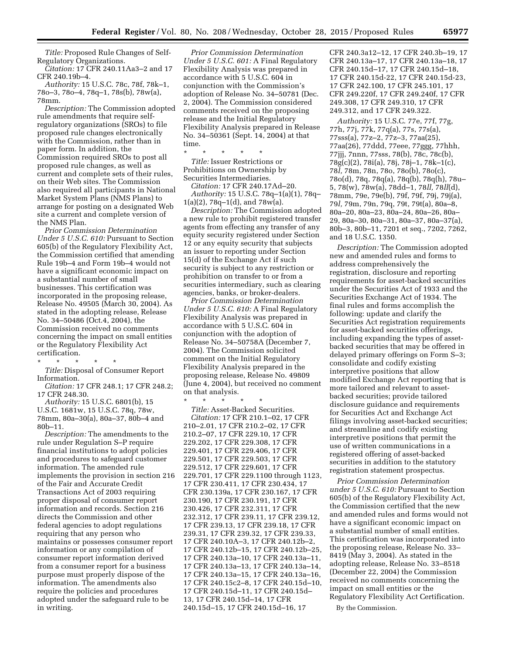*Title:* Proposed Rule Changes of Self-Regulatory Organizations.

*Citation:* 17 CFR 240.11Aa3–2 and 17 CFR 240.19b–4.

*Authority:* 15 U.S.C. 78c, 78f, 78k–1, 78o–3, 78o–4, 78q–1, 78s(b), 78w(a), 78mm.

*Description:* The Commission adopted rule amendments that require selfregulatory organizations (SROs) to file proposed rule changes electronically with the Commission, rather than in paper form. In addition, the Commission required SROs to post all proposed rule changes, as well as current and complete sets of their rules, on their Web sites. The Commission also required all participants in National Market System Plans (NMS Plans) to arrange for posting on a designated Web site a current and complete version of the NMS Plan.

*Prior Commission Determination Under 5 U.S.C. 610:* Pursuant to Section 605(b) of the Regulatory Flexibility Act, the Commission certified that amending Rule 19b–4 and Form 19b–4 would not have a significant economic impact on a substantial number of small businesses. This certification was incorporated in the proposing release, Release No. 49505 (March 30, 2004). As stated in the adopting release, Release No. 34–50486 (Oct.4, 2004), the Commission received no comments concerning the impact on small entities or the Regulatory Flexibility Act certification.

\* \* \* \* \* *Title:* Disposal of Consumer Report Information.

*Citation:* 17 CFR 248.1; 17 CFR 248.2; 17 CFR 248.30.

*Authority:* 15 U.S.C. 6801(b), 15 U.S.C. 1681w, 15 U.S.C. 78q, 78w, 78mm, 80a–30(a), 80a–37, 80b–4 and 80b–11.

*Description:* The amendments to the rule under Regulation S–P require financial institutions to adopt policies and procedures to safeguard customer information. The amended rule implements the provision in section 216 of the Fair and Accurate Credit Transactions Act of 2003 requiring proper disposal of consumer report information and records. Section 216 directs the Commission and other federal agencies to adopt regulations requiring that any person who maintains or possesses consumer report information or any compilation of consumer report information derived from a consumer report for a business purpose must properly dispose of the information. The amendments also require the policies and procedures adopted under the safeguard rule to be in writing.

*Prior Commission Determination Under 5 U.S.C. 601:* A Final Regulatory Flexibility Analysis was prepared in accordance with 5 U.S.C. 604 in conjunction with the Commission's adoption of Release No. 34–50781 (Dec. 2, 2004). The Commission considered comments received on the proposing release and the Initial Regulatory Flexibility Analysis prepared in Release No. 34–50361 (Sept. 14, 2004) at that time.

\* \* \* \* \* *Title:* Issuer Restrictions or Prohibitions on Ownership by Securities Intermediaries.

*Citation:* 17 CFR 240.17Ad–20. *Authority:* 15 U.S.C. 78q–1(a)(1), 78q–  $1(a)(2)$ , 78q-1(d), and 78w(a).

*Description:* The Commission adopted a new rule to prohibit registered transfer agents from effecting any transfer of any equity security registered under Section 12 or any equity security that subjects an issuer to reporting under Section 15(d) of the Exchange Act if such security is subject to any restriction or prohibition on transfer to or from a securities intermediary, such as clearing agencies, banks, or broker-dealers.

*Prior Commission Determination Under 5 U.S.C. 610:* A Final Regulatory Flexibility Analysis was prepared in accordance with 5 U.S.C. 604 in conjunction with the adoption of Release No. 34–50758A (December 7, 2004). The Commission solicited comment on the Initial Regulatory Flexibility Analysis prepared in the proposing release, Release No. 49809 (June 4, 2004), but received no comment on that analysis.

\* \* \* \* \* *Title:* Asset-Backed Securities. *Citation:* 17 CFR 210.1–02, 17 CFR 210–2.01, 17 CFR 210.2–02, 17 CFR 210.2–07, 17 CFR 229.10, 17 CFR 229.202, 17 CFR 229.308, 17 CFR 229.401, 17 CFR 229.406, 17 CFR 229.501, 17 CFR 229.503, 17 CFR 229.512, 17 CFR 229.601, 17 CFR 229.701, 17 CFR 229.1100 through 1123, 17 CFR 230.411, 17 CFR 230.434, 17 CFR 230.139a, 17 CFR 230.167, 17 CFR 230.190, 17 CFR 230.191, 17 CFR 230.426, 17 CFR 232.311, 17 CFR 232.312, 17 CFR 239.11, 17 CFR 239.12, 17 CFR 239.13, 17 CFR 239.18, 17 CFR 239.31, 17 CFR 239.32, 17 CFR 239.33, 17 CFR 240.10A–3, 17 CFR 240.12b–2, 17 CFR 240.12b–15, 17 CFR 240.12b–25, 17 CFR 240.13a–10, 17 CFR 240.13a–11, 17 CFR 240.13a–13, 17 CFR 240.13a–14, 17 CFR 240.13a–15, 17 CFR 240.13a–16, 17 CFR 240.15c2–8, 17 CFR 240.15d–10, 17 CFR 240.15d–11, 17 CFR 240.15d– 13, 17 CFR 240.15d–14, 17 CFR 240.15d–15, 17 CFR 240.15d–16, 17

CFR 240.3a12–12, 17 CFR 240.3b–19, 17 CFR 240.13a–17, 17 CFR 240.13a–18, 17 CFR 240.15d–17, 17 CFR 240.15d–18, 17 CFR 240.15d-22, 17 CFR 240.15d-23, 17 CFR 242.100, 17 CFR 245.101, 17 CFR 249.220f, 17 CFR 249.240f, 17 CFR 249.308, 17 CFR 249.310, 17 CFR 249.312, and 17 CFR 249.322.

*Authority:* 15 U.S.C. 77e, 77f, 77g, 77h, 77j, 77k, 77q(a), 77s, 77s(a), 77sss(a), 77z–2, 77z–3, 77aa(25), 77aa(26), 77ddd, 77eee, 77ggg, 77hhh, 77jjj, 7nnn, 77sss, 78(b), 78c, 78c(b), 78g(c)(2), 78i(a), 78j, 78j–1, 78k–1(c), 78*l,* 78m, 78n, 78o, 78o(b), 78o(c), 78o(d), 78q, 78q(a), 78q(b), 78q(h), 78u– 5, 78(w), 78w(a), 78dd–1, 78*ll,* 78*ll*(d), 78mm, 79e, 79e(b), 79f, 79f, 79j, 79j(a), 79*l,* 79m, 79n, 79q, 79t, 79t(a), 80a–8, 80a–20, 80a–23, 80a–24, 80a–26, 80a– 29, 80a–30, 80a–31, 80a–37, 80a–37(a), 80b–3, 80b–11, 7201 et seq., 7202, 7262, and 18 U.S.C. 1350.

*Description:* The Commission adopted new and amended rules and forms to address comprehensively the registration, disclosure and reporting requirements for asset-backed securities under the Securities Act of 1933 and the Securities Exchange Act of 1934. The final rules and forms accomplish the following: update and clarify the Securities Act registration requirements for asset-backed securities offerings, including expanding the types of assetbacked securities that may be offered in delayed primary offerings on Form S–3; consolidate and codify existing interpretive positions that allow modified Exchange Act reporting that is more tailored and relevant to assetbacked securities; provide tailored disclosure guidance and requirements for Securities Act and Exchange Act filings involving asset-backed securities; and streamline and codify existing interpretive positions that permit the use of written communications in a registered offering of asset-backed securities in addition to the statutory registration statement prospectus.

*Prior Commission Determination under 5 U.S.C. 610:* Pursuant to Section 605(b) of the Regulatory Flexibility Act, the Commission certified that the new and amended rules and forms would not have a significant economic impact on a substantial number of small entities. This certification was incorporated into the proposing release, Release No. 33– 8419 (May 3, 2004). As stated in the adopting release, Release No. 33–8518 (December 22, 2004) the Commission received no comments concerning the impact on small entities or the Regulatory Flexibility Act Certification.

By the Commission.